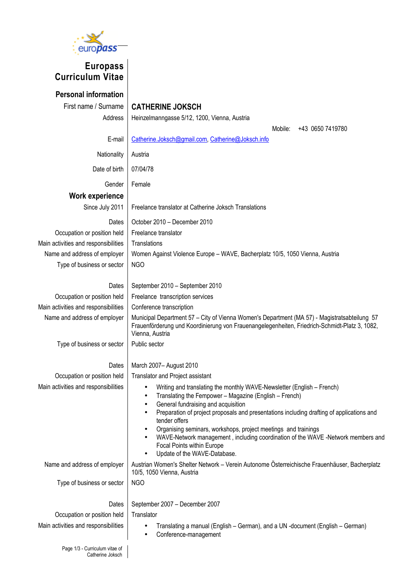

## **Europass Curriculum Vitae**

**Personal information**

## First name / Surname | **CATHERINE JOKSCH**

Address | Heinzelmanngasse 5/12, 1200, Vienna, Austria

Mobile: +43 0650 7419780

E-mail | [Catherine.Joksch@gmail.com,](mailto:Catherine.Joksch@gmail.com) [Catherine@Joksch.info](mailto:Catherine@Joksch.info)

Nationality | Austria

Date of birth  $\vert$  07/04/78

Gender | Female

**Work experience**

Since July 2011 | Freelance translator at Catherine Joksch Translations

Dates  $\vert$  October 2010 – December 2010 Occupation or position held Freelance translator Main activities and responsibilities  $\parallel$  Translations Name and address of employer | Women Against Violence Europe – WAVE, Bacherplatz 10/5, 1050 Vienna, Austria Type of business or sector  $\parallel$  NGO

Main activities and responsibilities  $\parallel$  Conference transcription

Dates | September 2010 – September 2010 Occupation or position held | Freelance transcription services Name and address of employer | Municipal Department 57 – City of Vienna Women's Department (MA 57) - Magistratsabteilung 57 Frauenförderung und Koordinierung von Frauenangelegenheiten, Friedrich-Schmidt-Platz 3, 1082, Vienna, Austria

Type of business or sector  $\vert$  Public sector

## Dates | March 2007– August 2010

Occupation or position held Translator and Project assistant

- Main activities and responsibilities **•** Writing and translating the monthly WAVE-Newsletter (English French)
	- Translating the Fempower Magazine (English French)
	- General fundraising and acquisition
	- Preparation of project proposals and presentations including drafting of applications and tender offers
	- Organising seminars, workshops, project meetings and trainings
	- WAVE-Network management , including coordination of the WAVE -Network members and Focal Points within Europe
	- Update of the WAVE-Database.

Name and address of employer | Austrian Women's Shelter Network – Verein Autonome Österreichische Frauenhäuser, Bacherplatz 10/5, 1050 Vienna, Austria

Type of business or sector  $\parallel$  NGO

Dates | September 2007 – December 2007

Occupation or position held Translator

- Main activities and responsibilities **•** Translating a manual (English German), and a UN -document (English German)
	- Conference-management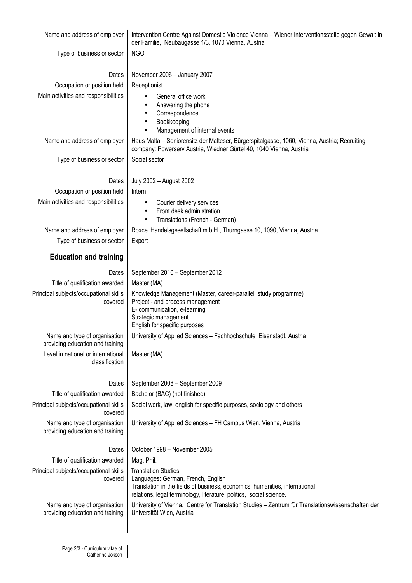| Name and address of employer                                      | Intervention Centre Against Domestic Violence Vienna - Wiener Interventionsstelle gegen Gewalt in<br>der Familie, Neubaugasse 1/3, 1070 Vienna, Austria                                                                |  |  |  |  |
|-------------------------------------------------------------------|------------------------------------------------------------------------------------------------------------------------------------------------------------------------------------------------------------------------|--|--|--|--|
| Type of business or sector                                        | <b>NGO</b>                                                                                                                                                                                                             |  |  |  |  |
| Dates                                                             | November 2006 - January 2007                                                                                                                                                                                           |  |  |  |  |
| Occupation or position held                                       | Receptionist                                                                                                                                                                                                           |  |  |  |  |
| Main activities and responsibilities                              | General office work<br>$\bullet$                                                                                                                                                                                       |  |  |  |  |
|                                                                   | Answering the phone<br>$\bullet$<br>Correspondence<br>$\bullet$                                                                                                                                                        |  |  |  |  |
|                                                                   | Bookkeeping<br>٠                                                                                                                                                                                                       |  |  |  |  |
|                                                                   | Management of internal events<br>$\bullet$                                                                                                                                                                             |  |  |  |  |
| Name and address of employer                                      | Haus Malta - Seniorensitz der Malteser, Bürgerspitalgasse, 1060, Vienna, Austria; Recruiting<br>company: Powerserv Austria, Wiedner Gürtel 40, 1040 Vienna, Austria                                                    |  |  |  |  |
| Type of business or sector                                        | Social sector                                                                                                                                                                                                          |  |  |  |  |
| Dates                                                             | July 2002 - August 2002                                                                                                                                                                                                |  |  |  |  |
| Occupation or position held                                       | Intern                                                                                                                                                                                                                 |  |  |  |  |
| Main activities and responsibilities                              | Courier delivery services<br>٠                                                                                                                                                                                         |  |  |  |  |
|                                                                   | Front desk administration<br>$\bullet$                                                                                                                                                                                 |  |  |  |  |
| Name and address of employer                                      | Translations (French - German)<br>$\bullet$<br>Roxcel Handelsgesellschaft m.b.H., Thurngasse 10, 1090, Vienna, Austria                                                                                                 |  |  |  |  |
| Type of business or sector                                        | Export                                                                                                                                                                                                                 |  |  |  |  |
|                                                                   |                                                                                                                                                                                                                        |  |  |  |  |
| <b>Education and training</b>                                     |                                                                                                                                                                                                                        |  |  |  |  |
| Dates                                                             | September 2010 - September 2012                                                                                                                                                                                        |  |  |  |  |
| Title of qualification awarded                                    | Master (MA)                                                                                                                                                                                                            |  |  |  |  |
| Principal subjects/occupational skills<br>covered                 | Knowledge Management (Master, career-parallel study programme)<br>Project - and process management<br>E- communication, e-learning<br>Strategic management<br>English for specific purposes                            |  |  |  |  |
| Name and type of organisation<br>providing education and training | University of Applied Sciences - Fachhochschule Eisenstadt, Austria                                                                                                                                                    |  |  |  |  |
| Level in national or international<br>classification              | Master (MA)                                                                                                                                                                                                            |  |  |  |  |
| Dates                                                             | September 2008 - September 2009                                                                                                                                                                                        |  |  |  |  |
| Title of qualification awarded                                    | Bachelor (BAC) (not finished)                                                                                                                                                                                          |  |  |  |  |
| Principal subjects/occupational skills<br>covered                 | Social work, law, english for specific purposes, sociology and others                                                                                                                                                  |  |  |  |  |
| Name and type of organisation<br>providing education and training | University of Applied Sciences - FH Campus Wien, Vienna, Austria                                                                                                                                                       |  |  |  |  |
| Dates                                                             | October 1998 - November 2005                                                                                                                                                                                           |  |  |  |  |
| Title of qualification awarded                                    | Mag. Phil.                                                                                                                                                                                                             |  |  |  |  |
| Principal subjects/occupational skills<br>covered                 | <b>Translation Studies</b><br>Languages: German, French, English<br>Translation in the fields of business, economics, humanities, international<br>relations, legal terminology, literature, politics, social science. |  |  |  |  |
| Name and type of organisation<br>providing education and training | University of Vienna, Centre for Translation Studies - Zentrum für Translationswissenschaften der<br>Universität Wien, Austria                                                                                         |  |  |  |  |